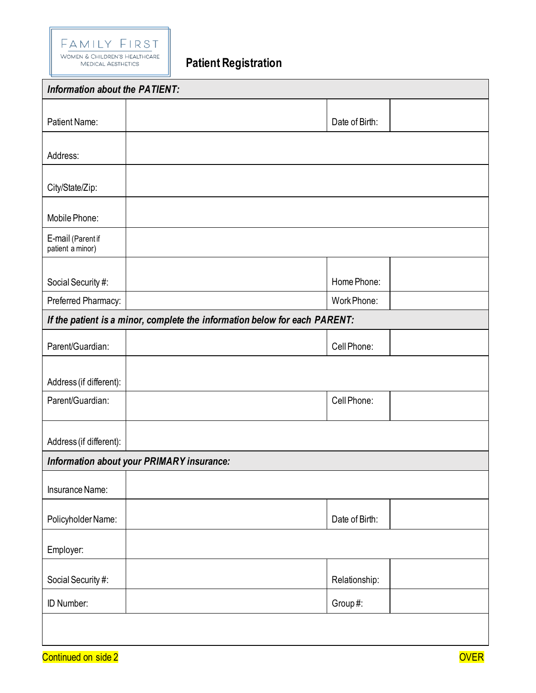

**Patient Registration**

| <b>Information about the PATIENT:</b>                                      |                |  |
|----------------------------------------------------------------------------|----------------|--|
| Patient Name:                                                              | Date of Birth: |  |
| Address:                                                                   |                |  |
|                                                                            |                |  |
| City/State/Zip:                                                            |                |  |
| Mobile Phone:                                                              |                |  |
| E-mail (Parent if<br>patient a minor)                                      |                |  |
| Social Security #:                                                         | Home Phone:    |  |
| Preferred Pharmacy:                                                        | Work Phone:    |  |
| If the patient is a minor, complete the information below for each PARENT: |                |  |
| Parent/Guardian:                                                           | Cell Phone:    |  |
| Address (if different):                                                    |                |  |
| Parent/Guardian:                                                           | Cell Phone:    |  |
| Address (if different):                                                    |                |  |
| Information about your PRIMARY insurance:                                  |                |  |
| Insurance Name:                                                            |                |  |
| Policyholder Name:                                                         | Date of Birth: |  |
| Employer:                                                                  |                |  |
| Social Security #:                                                         | Relationship:  |  |
| ID Number:                                                                 | Group#:        |  |
|                                                                            |                |  |